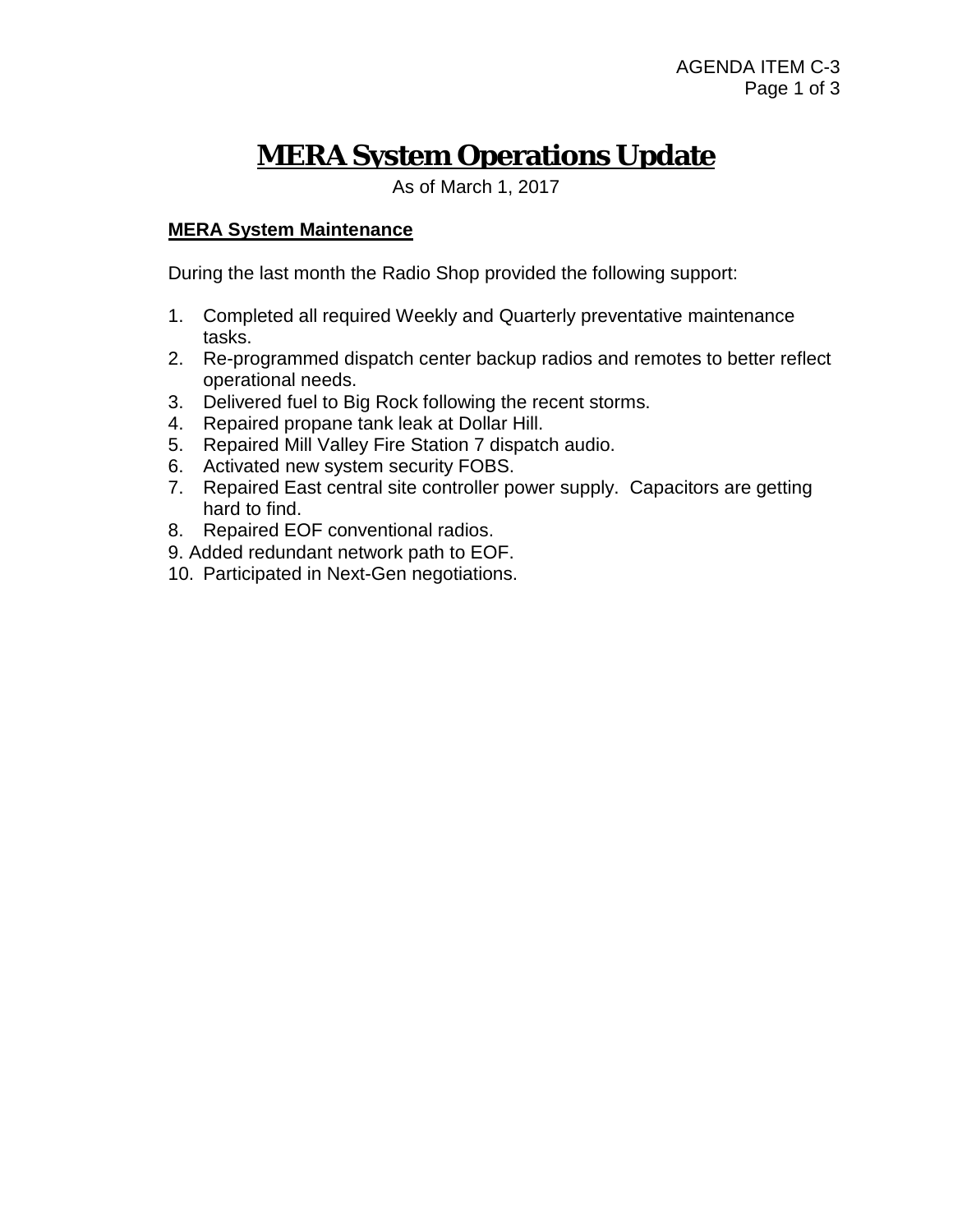# **MERA System Operations Update**

As of March 1, 2017

### **MERA System Maintenance**

During the last month the Radio Shop provided the following support:

- 1. Completed all required Weekly and Quarterly preventative maintenance tasks.
- 2. Re-programmed dispatch center backup radios and remotes to better reflect operational needs.
- 3. Delivered fuel to Big Rock following the recent storms.
- 4. Repaired propane tank leak at Dollar Hill.
- 5. Repaired Mill Valley Fire Station 7 dispatch audio.
- 6. Activated new system security FOBS.
- 7. Repaired East central site controller power supply. Capacitors are getting hard to find.
- 8. Repaired EOF conventional radios.
- 9. Added redundant network path to EOF.
- 10. Participated in Next-Gen negotiations.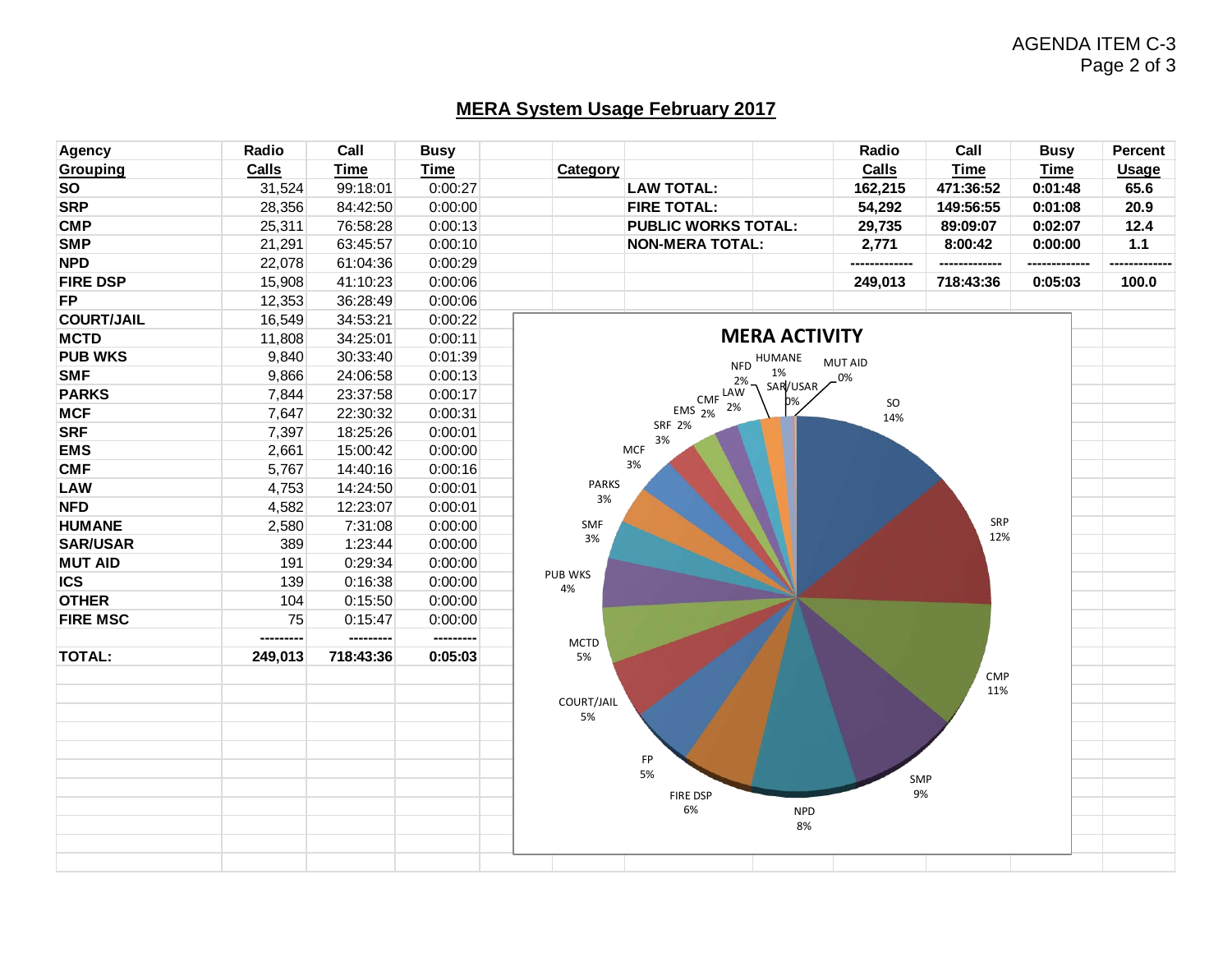## AGENDA ITEM C-3 Page 2 of 3

# **MERA System Usage February 2017**

| Agency            | Radio        | Call        | <b>Busy</b> |                        |                            |                  | Radio            | Call        | <b>Busy</b> | <b>Percent</b> |
|-------------------|--------------|-------------|-------------|------------------------|----------------------------|------------------|------------------|-------------|-------------|----------------|
| <b>Grouping</b>   | <b>Calls</b> | <b>Time</b> | <b>Time</b> | Category               |                            |                  | Calls            | <b>Time</b> | <b>Time</b> | <b>Usage</b>   |
| <b>SO</b>         | 31,524       | 99:18:01    | 0:00:27     |                        | <b>LAW TOTAL:</b>          |                  | 162,215          | 471:36:52   | 0:01:48     | 65.6           |
| <b>SRP</b>        | 28,356       | 84:42:50    | 0:00:00     |                        | <b>FIRE TOTAL:</b>         |                  | 54,292           | 149:56:55   | 0:01:08     | 20.9           |
| <b>CMP</b>        | 25,311       | 76:58:28    | 0:00:13     |                        | <b>PUBLIC WORKS TOTAL:</b> |                  | 29,735           | 89:09:07    | 0:02:07     | 12.4           |
| <b>SMP</b>        | 21,291       | 63:45:57    | 0:00:10     | <b>NON-MERA TOTAL:</b> |                            |                  | 2,771            | 8:00:42     | 0:00:00     | $1.1$          |
| <b>NPD</b>        | 22,078       | 61:04:36    | 0:00:29     |                        |                            |                  |                  |             |             |                |
| <b>FIRE DSP</b>   | 15,908       | 41:10:23    | 0:00:06     |                        |                            |                  | 249,013          | 718:43:36   | 0:05:03     | 100.0          |
| <b>FP</b>         | 12,353       | 36:28:49    | 0:00:06     |                        |                            |                  |                  |             |             |                |
| <b>COURT/JAIL</b> | 16,549       | 34:53:21    | 0:00:22     |                        |                            |                  |                  |             |             |                |
| <b>MCTD</b>       | 11,808       | 34:25:01    | 0:00:11     | <b>MERA ACTIVITY</b>   |                            |                  |                  |             |             |                |
| <b>PUB WKS</b>    | 9,840        | 30:33:40    | 0:01:39     |                        |                            | HUMANE           | MUT AID          |             |             |                |
| <b>SMF</b>        | 9,866        | 24:06:58    | 0:00:13     |                        | <b>NFD</b><br>2%           | 1%               | $-0\%$           |             |             |                |
| <b>PARKS</b>      | 7,844        | 23:37:58    | 0:00:17     |                        | $CMF$ <sup>LAW</sup>       | SAR/USAR         |                  |             |             |                |
| <b>MCF</b>        | 7,647        | 22:30:32    | 0:00:31     |                        | 2%<br>EMS $2%$             | 0%               | <b>SO</b><br>14% |             |             |                |
| <b>SRF</b>        | 7,397        | 18:25:26    | 0:00:01     |                        | <b>SRF 2%</b>              |                  |                  |             |             |                |
| <b>EMS</b>        | 2,661        | 15:00:42    | 0:00:00     |                        | 3%<br><b>MCF</b>           |                  |                  |             |             |                |
| <b>CMF</b>        | 5,767        | 14:40:16    | 0:00:16     |                        | 3%                         |                  |                  |             |             |                |
| LAW               | 4,753        | 14:24:50    | 0:00:01     | <b>PARKS</b>           |                            |                  |                  |             |             |                |
| <b>NFD</b>        | 4,582        | 12:23:07    | 0:00:01     | 3%                     |                            |                  |                  |             |             |                |
| <b>HUMANE</b>     | 2,580        | 7:31:08     | 0:00:00     | <b>SMF</b>             |                            |                  |                  | SRP         |             |                |
| <b>SAR/USAR</b>   | 389          | 1:23:44     | 0:00:00     | 3%                     |                            |                  |                  | 12%         |             |                |
| <b>MUT AID</b>    | 191          | 0:29:34     | 0:00:00     |                        |                            |                  |                  |             |             |                |
| <b>ICS</b>        | 139          | 0:16:38     | 0:00:00     | PUB WKS                |                            |                  |                  |             |             |                |
| <b>OTHER</b>      | 104          | 0:15:50     | 0:00:00     | 4%                     |                            |                  |                  |             |             |                |
| <b>FIRE MSC</b>   | 75           | 0:15:47     | 0:00:00     |                        |                            |                  |                  |             |             |                |
|                   | ---------    | ---------   | ---------   | <b>MCTD</b>            |                            |                  |                  |             |             |                |
| <b>TOTAL:</b>     | 249,013      | 718:43:36   | 0:05:03     | 5%                     |                            |                  |                  |             |             |                |
|                   |              |             |             |                        |                            |                  |                  | <b>CMP</b>  |             |                |
|                   |              |             |             |                        |                            |                  |                  | 11%         |             |                |
|                   |              |             |             | COURT/JAIL<br>5%       |                            |                  |                  |             |             |                |
|                   |              |             |             |                        |                            |                  |                  |             |             |                |
|                   |              |             |             |                        |                            |                  |                  |             |             |                |
|                   |              |             |             |                        | FP<br>5%                   |                  |                  |             |             |                |
|                   |              |             |             |                        |                            |                  |                  | SMP         |             |                |
|                   |              |             |             |                        | FIRE DSP<br>6%             |                  |                  | 9%          |             |                |
|                   |              |             |             |                        |                            | <b>NPD</b><br>8% |                  |             |             |                |
|                   |              |             |             |                        |                            |                  |                  |             |             |                |
|                   |              |             |             |                        |                            |                  |                  |             |             |                |